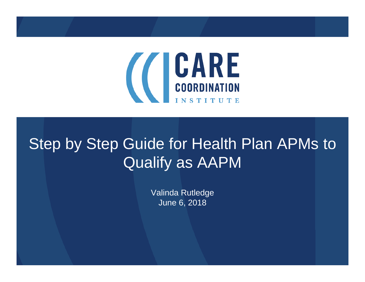

### Step by Step Guide for Health Plan APMs to Qualify as AAPM

Valinda Rutledge June 6, 2018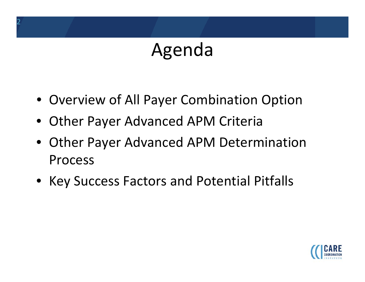### Agenda

- Overview of All Payer Combination Option
- Other Payer Advanced APM Criteria

2

- Other Payer Advanced APM Determination Process
- Key Success Factors and Potential Pitfalls

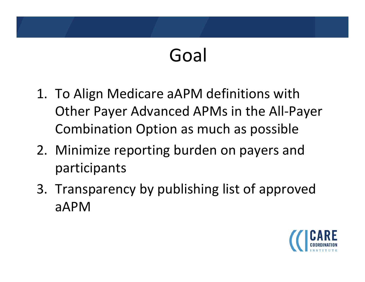## Goal

- 1. To Align Medicare aAPM definitions with Other Payer Advanced APMs in the All‐Payer Combination Option as much as possible
- 2. Minimize reporting burden on payers and participants
- 3. Transparency by publishing list of approved aAPM

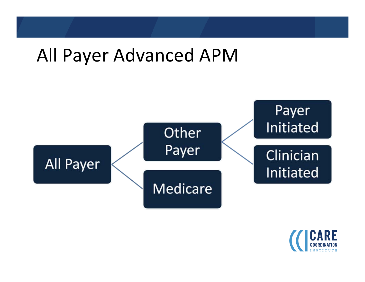### All Payer Advanced APM



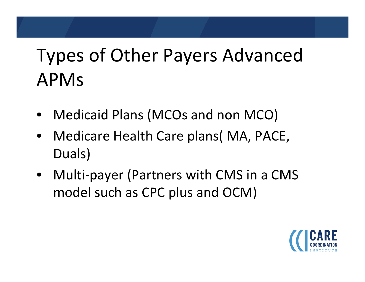## Types of Other Payers Advanced APMs

- Medicaid Plans (MCOs and non MCO)
- Medicare Health Care plans( MA, PACE, Duals)
- Multi‐payer (Partners with CMS in <sup>a</sup> CMS model such as CPC plus and OCM)

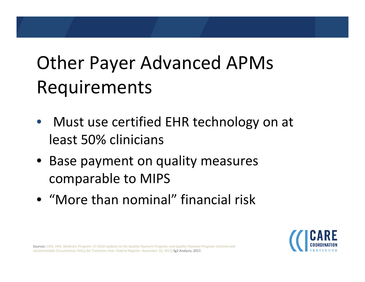## Other Payer Advanced APMs Requirements

- Must use certified EHR technology on at least 50% clinicians
- Base payment on quality measures comparable to MIPS
- "More than nominal" financial risk



**Sources:** CMS, HHS. Medicare Program: CY 2018 Updates to the Quality Payment Program; and Quality Payment Program: Extreme and *Uncontrollable Circumstance Policy for Transition Year. Federal Register.* November 16, 2017*;* Sg2 Analysis, 2017.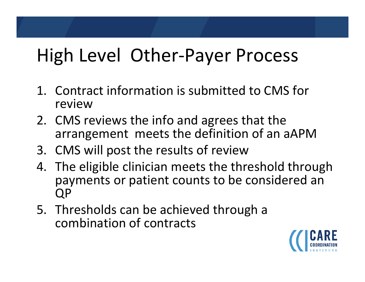## High Level Other‐Payer Process

- 1. Contract information is submitted to CMS for review
- 2. CMS reviews the info and agrees that the arrangement meets the definition of an aAPM
- 3. CMS will post the results of review
- 4. The eligible clinician meets the threshold through payments or patient counts to be considered an QP
- 5. Thresholds can be achieved through <sup>a</sup> combination of contracts

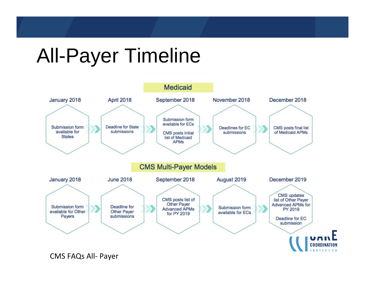# All-Payer Timeline



CMS FAQs All‐ Payer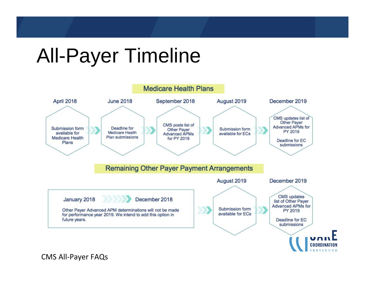## All-Payer Timeline



CMS All‐Payer FAQs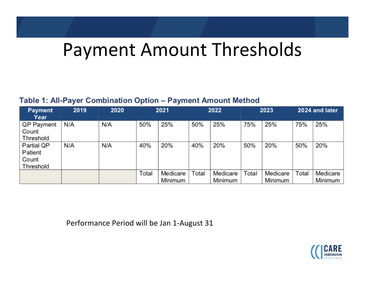### Payment Amount Thresholds

#### Table 1: All-Payer Combination Option - Payment Amount Method

| <b>Payment</b><br>Year                      | 2019 | 2020 | 2021  |                     | 2022  |                     | 2023  |                     | 2024 and later |                     |
|---------------------------------------------|------|------|-------|---------------------|-------|---------------------|-------|---------------------|----------------|---------------------|
| QP Payment<br>Count<br>Threshold            | N/A  | N/A  | 50%   | 25%                 | 50%   | 25%                 | 75%   | 25%                 | 75%            | 25%                 |
| Partial QP<br>Patient<br>Count<br>Threshold | N/A  | N/A  | 40%   | 20%                 | 40%   | 20%                 | 50%   | 20%                 | 50%            | 20%                 |
|                                             |      |      | Total | Medicare<br>Minimum | Total | Medicare<br>Minimum | Total | Medicare<br>Minimum | Total          | Medicare<br>Minimum |

Performance Period will be Jan 1‐August 31

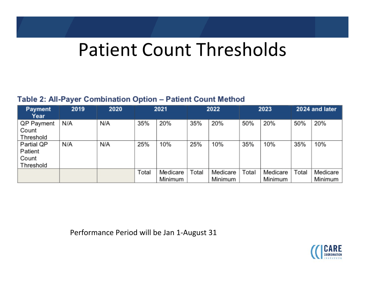### Patient Count Thresholds

#### Table 2: All-Payer Combination Option - Patient Count Method

| <b>Payment</b><br>Year     | 2019 | 2020 | 2021  |          | 2022  |          | 2023  |          | 2024 and later |          |
|----------------------------|------|------|-------|----------|-------|----------|-------|----------|----------------|----------|
| <b>QP Payment</b><br>Count | N/A  | N/A  | 35%   | 20%      | 35%   | 20%      | 50%   | 20%      | 50%            | 20%      |
| Threshold                  |      |      |       |          |       |          |       |          |                |          |
| Partial QP                 | N/A  | N/A  | 25%   | 10%      | 25%   | 10%      | 35%   | 10%      | 35%            | 10%      |
| Patient                    |      |      |       |          |       |          |       |          |                |          |
| Count                      |      |      |       |          |       |          |       |          |                |          |
| Threshold                  |      |      |       |          |       |          |       |          |                |          |
|                            |      |      | Total | Medicare | Total | Medicare | Total | Medicare | Total          | Medicare |
|                            |      |      |       | Minimum  |       | Minimum  |       | Minimum  |                | Minimum  |

Performance Period will be Jan 1‐August 31

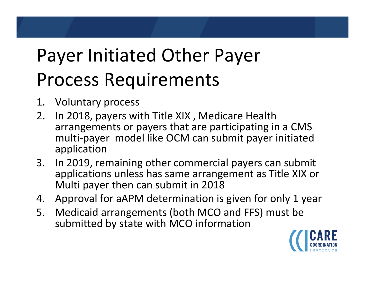## Payer Initiated Other Payer Process Requirements

- 1.Voluntary process
- 2.. In 2018, payers with Title XIX, Medicare Health arrangements or payers that are participating in <sup>a</sup> CMS multi‐payer model like OCM can submit payer initiated application
- 3.. In 2019, remaining other commercial payers can submit applications unless has same arrangement as Title XIX or Multi payer then can submit in 2018
- 4.Approval for aAPM determination is given for only 1 year
- 5. Medicaid arrangements (both MCO and FFS) must be submitted by state with MCO information

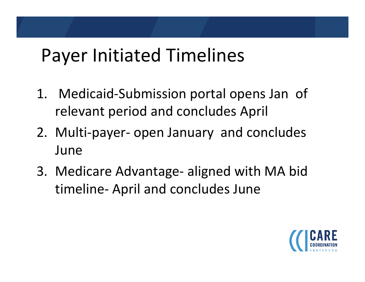### Payer Initiated Timelines

- 1. Medicaid‐Submission portal opens Jan of relevant period and concludes April
- 2. Multi‐payer‐ open January and concludes June
- 3. Medicare Advantage‐ aligned with MA bid timeline‐ April and concludes June

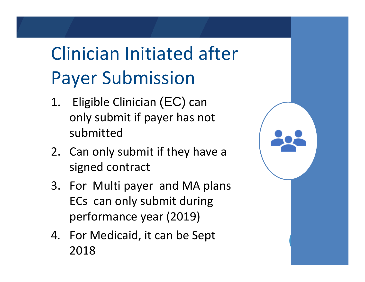## Clinician Initiated after Payer Submission

- 1. Eligible Clinician (EC) can only submit if payer has not submitted
- 2. Can only submit if they have <sup>a</sup> signed contract
- 3. For Multi payer and MA plans ECs can only submit during performance year (2019)
- 4. For Medicaid, it can be Sept 2018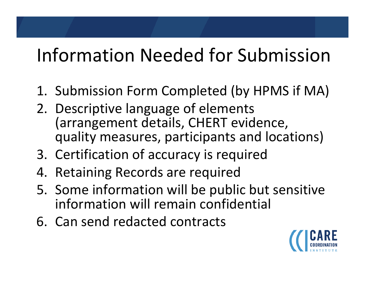## Information Needed for Submission

- 1. Submission Form Completed (by HPMS if MA)
- 2. Descriptive language of elements (arrangement details, CHERT evidence, quality measures, participants and locations)
- 3. Certification of accuracy is required
- 4. Retaining Records are required
- 5. Some information will be public but sensitive information will remain confidential
- 6. Can send redacted contracts

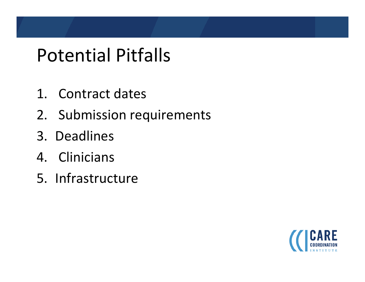### Potential Pitfalls

- 1. Contract dates
- 2. Submission requirements
- 3. Deadlines
- 4. Clinicians
- 5. Infrastructure

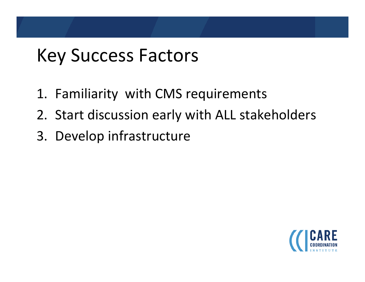## Key Success Factors

- 1. Familiarity with CMS requirements
- 2. Start discussion early with ALL stakeholders
- 3. Develop infrastructure

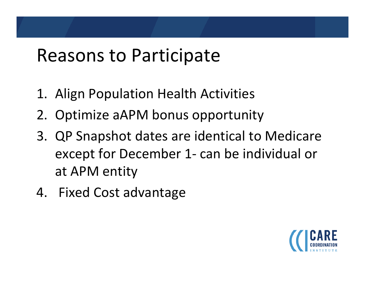### Reasons to Participate

- 1. Align Population Health Activities
- 2. Optimize aAPM bonus opportunity
- 3. QP Snapshot dates are identical to Medicare except for December 1‐ can be individual or at APM entity
- 4. Fixed Cost advantage